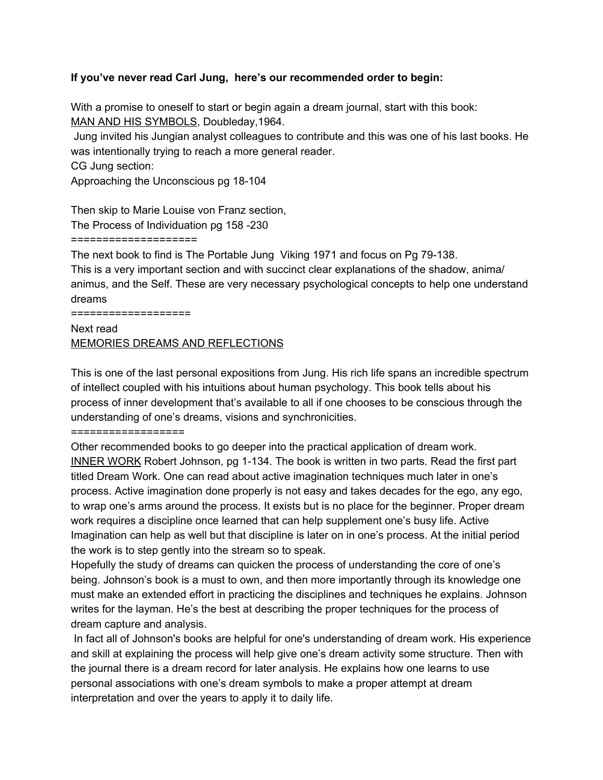## **If you've never read Carl Jung, here's our recommended order to begin:**

With a promise to oneself to start or begin again a dream journal, start with this book: MAN AND HIS SYMBOLS, Doubleday,1964.

Jung invited his Jungian analyst colleagues to contribute and this was one of his last books. He was intentionally trying to reach a more general reader.

CG Jung section:

Approaching the Unconscious pg 18-104

Then skip to Marie Louise von Franz section,

The Process of Individuation pg 158 -230

## ====================

The next book to find is The Portable Jung Viking 1971 and focus on Pg 79-138. This is a very important section and with succinct clear explanations of the shadow, anima/ animus, and the Self. These are very necessary psychological concepts to help one understand dreams

===================

Next read MEMORIES DREAMS AND REFLECTIONS

This is one of the last personal expositions from Jung. His rich life spans an incredible spectrum of intellect coupled with his intuitions about human psychology. This book tells about his process of inner development that's available to all if one chooses to be conscious through the understanding of one's dreams, visions and synchronicities.

==================

Other recommended books to go deeper into the practical application of dream work. INNER WORK Robert Johnson, pg 1-134. The book is written in two parts. Read the first part titled Dream Work. One can read about active imagination techniques much later in one's process. Active imagination done properly is not easy and takes decades for the ego, any ego, to wrap one's arms around the process. It exists but is no place for the beginner. Proper dream work requires a discipline once learned that can help supplement one's busy life. Active Imagination can help as well but that discipline is later on in one's process. At the initial period the work is to step gently into the stream so to speak.

Hopefully the study of dreams can quicken the process of understanding the core of one's being. Johnson's book is a must to own, and then more importantly through its knowledge one must make an extended effort in practicing the disciplines and techniques he explains. Johnson writes for the layman. He's the best at describing the proper techniques for the process of dream capture and analysis.

In fact all of Johnson's books are helpful for one's understanding of dream work. His experience and skill at explaining the process will help give one's dream activity some structure. Then with the journal there is a dream record for later analysis. He explains how one learns to use personal associations with one's dream symbols to make a proper attempt at dream interpretation and over the years to apply it to daily life.